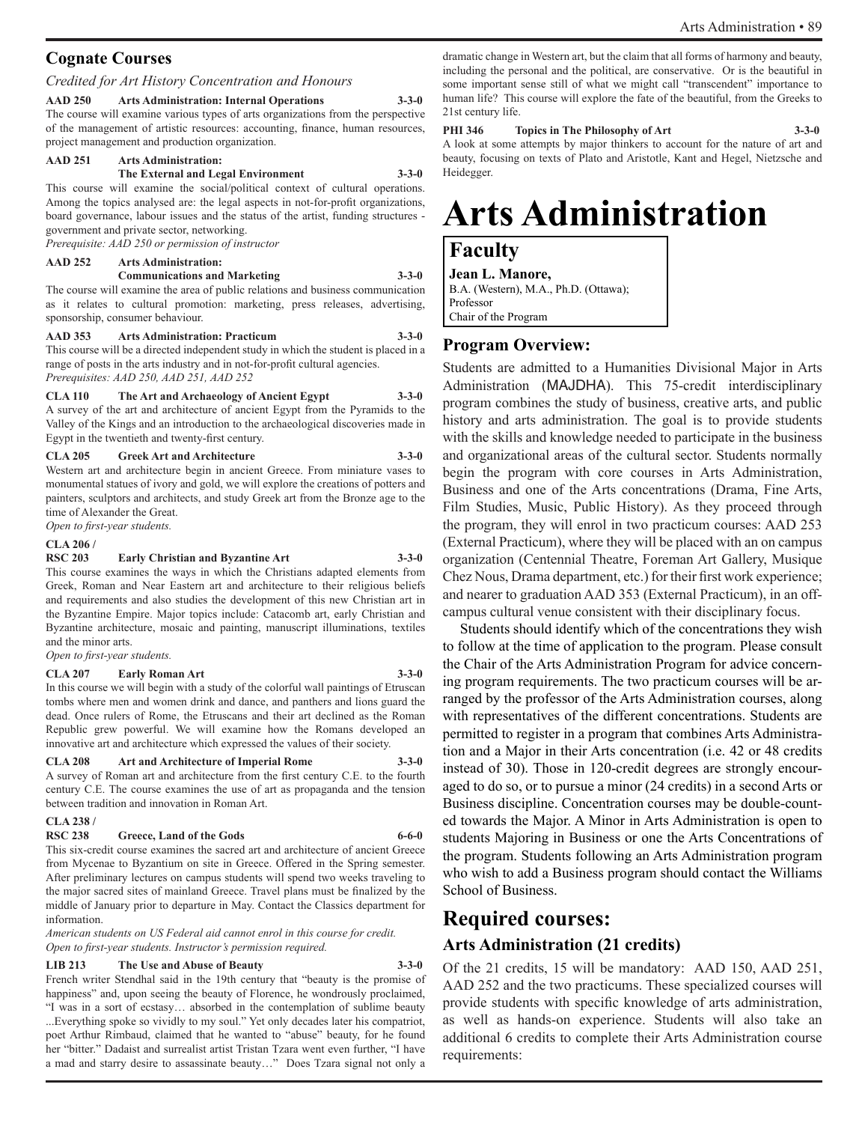#### **Cognate Courses**

#### *Credited for Art History Concentration and Honours*

**AAD 250 Arts Administration: Internal Operations 3-3-0** The course will examine various types of arts organizations from the perspective of the management of artistic resources: accounting, finance, human resources, project management and production organization.

#### **AAD 251 Arts Administration:**

#### **The External and Legal Environment 3-3-0**

This course will examine the social/political context of cultural operations. Among the topics analysed are: the legal aspects in not-for-profit organizations, board governance, labour issues and the status of the artist, funding structures government and private sector, networking.

*Prerequisite: AAD 250 or permission of instructor*

#### **AAD 252 Arts Administration:**

#### **Communications and Marketing 3-3-0**

The course will examine the area of public relations and business communication as it relates to cultural promotion: marketing, press releases, advertising, sponsorship, consumer behaviour.

**AAD 353 Arts Administration: Practicum 3-3-0** This course will be a directed independent study in which the student is placed in a range of posts in the arts industry and in not-for-profit cultural agencies.

*Prerequisites: AAD 250, AAD 251, AAD 252*

**CLA 110 The Art and Archaeology of Ancient Egypt 3-3-0** A survey of the art and architecture of ancient Egypt from the Pyramids to the Valley of the Kings and an introduction to the archaeological discoveries made in Egypt in the twentieth and twenty-first century.

#### **CLA 205 Greek Art and Architecture 3-3-0**

Western art and architecture begin in ancient Greece. From miniature vases to monumental statues of ivory and gold, we will explore the creations of potters and painters, sculptors and architects, and study Greek art from the Bronze age to the time of Alexander the Great.

*Open to first-year students.*

#### **CLA 206 /**

**RSC 203 Early Christian and Byzantine Art 3-3-0** This course examines the ways in which the Christians adapted elements from Greek, Roman and Near Eastern art and architecture to their religious beliefs and requirements and also studies the development of this new Christian art in the Byzantine Empire. Major topics include: Catacomb art, early Christian and Byzantine architecture, mosaic and painting, manuscript illuminations, textiles and the minor arts.

*Open to first-year students.*

#### **CLA 207 Early Roman Art 3-3-0**

In this course we will begin with a study of the colorful wall paintings of Etruscan tombs where men and women drink and dance, and panthers and lions guard the dead. Once rulers of Rome, the Etruscans and their art declined as the Roman Republic grew powerful. We will examine how the Romans developed an innovative art and architecture which expressed the values of their society.

#### **CLA 208 Art and Architecture of Imperial Rome 3-3-0**

A survey of Roman art and architecture from the first century C.E. to the fourth century C.E. The course examines the use of art as propaganda and the tension between tradition and innovation in Roman Art.

#### **CLA 238 /**

#### RSC 238 Greece, Land of the Gods 6-6-0 This six-credit course examines the sacred art and architecture of ancient Greece

from Mycenae to Byzantium on site in Greece. Offered in the Spring semester. After preliminary lectures on campus students will spend two weeks traveling to the major sacred sites of mainland Greece. Travel plans must be finalized by the middle of January prior to departure in May. Contact the Classics department for information.

*American students on US Federal aid cannot enrol in this course for credit. Open to first-year students. Instructor's permission required.*

#### **LIB 213 The Use and Abuse of Beauty 3-3-0**

French writer Stendhal said in the 19th century that "beauty is the promise of happiness" and, upon seeing the beauty of Florence, he wondrously proclaimed, "I was in a sort of ecstasy… absorbed in the contemplation of sublime beauty ...Everything spoke so vividly to my soul." Yet only decades later his compatriot, poet Arthur Rimbaud, claimed that he wanted to "abuse" beauty, for he found her "bitter." Dadaist and surrealist artist Tristan Tzara went even further, "I have a mad and starry desire to assassinate beauty…" Does Tzara signal not only a dramatic change in Western art, but the claim that all forms of harmony and beauty, including the personal and the political, are conservative. Or is the beautiful in some important sense still of what we might call "transcendent" importance to human life? This course will explore the fate of the beautiful, from the Greeks to 21st century life.

**PHI 346 Topics in The Philosophy of Art 3-3-0**

A look at some attempts by major thinkers to account for the nature of art and beauty, focusing on texts of Plato and Aristotle, Kant and Hegel, Nietzsche and Heidegger.

# **Arts Administration**

#### **Faculty**

**Jean L. Manore,**  B.A. (Western), M.A., Ph.D. (Ottawa); Professor Chair of the Program

#### **Program Overview:**

Students are admitted to a Humanities Divisional Major in Arts Administration (MAJDHA). This 75-credit interdisciplinary program combines the study of business, creative arts, and public history and arts administration. The goal is to provide students with the skills and knowledge needed to participate in the business and organizational areas of the cultural sector. Students normally begin the program with core courses in Arts Administration, Business and one of the Arts concentrations (Drama, Fine Arts, Film Studies, Music, Public History). As they proceed through the program, they will enrol in two practicum courses: AAD 253 (External Practicum), where they will be placed with an on campus organization (Centennial Theatre, Foreman Art Gallery, Musique Chez Nous, Drama department, etc.) for their first work experience; and nearer to graduation AAD 353 (External Practicum), in an offcampus cultural venue consistent with their disciplinary focus.

Students should identify which of the concentrations they wish to follow at the time of application to the program. Please consult the Chair of the Arts Administration Program for advice concerning program requirements. The two practicum courses will be arranged by the professor of the Arts Administration courses, along with representatives of the different concentrations. Students are permitted to register in a program that combines Arts Administration and a Major in their Arts concentration (i.e. 42 or 48 credits instead of 30). Those in 120-credit degrees are strongly encouraged to do so, or to pursue a minor (24 credits) in a second Arts or Business discipline. Concentration courses may be double-counted towards the Major. A Minor in Arts Administration is open to students Majoring in Business or one the Arts Concentrations of the program. Students following an Arts Administration program who wish to add a Business program should contact the Williams School of Business.

#### **Required courses:**

#### **Arts Administration (21 credits)**

Of the 21 credits, 15 will be mandatory: AAD 150, AAD 251, AAD 252 and the two practicums. These specialized courses will provide students with specific knowledge of arts administration, as well as hands-on experience. Students will also take an additional 6 credits to complete their Arts Administration course requirements: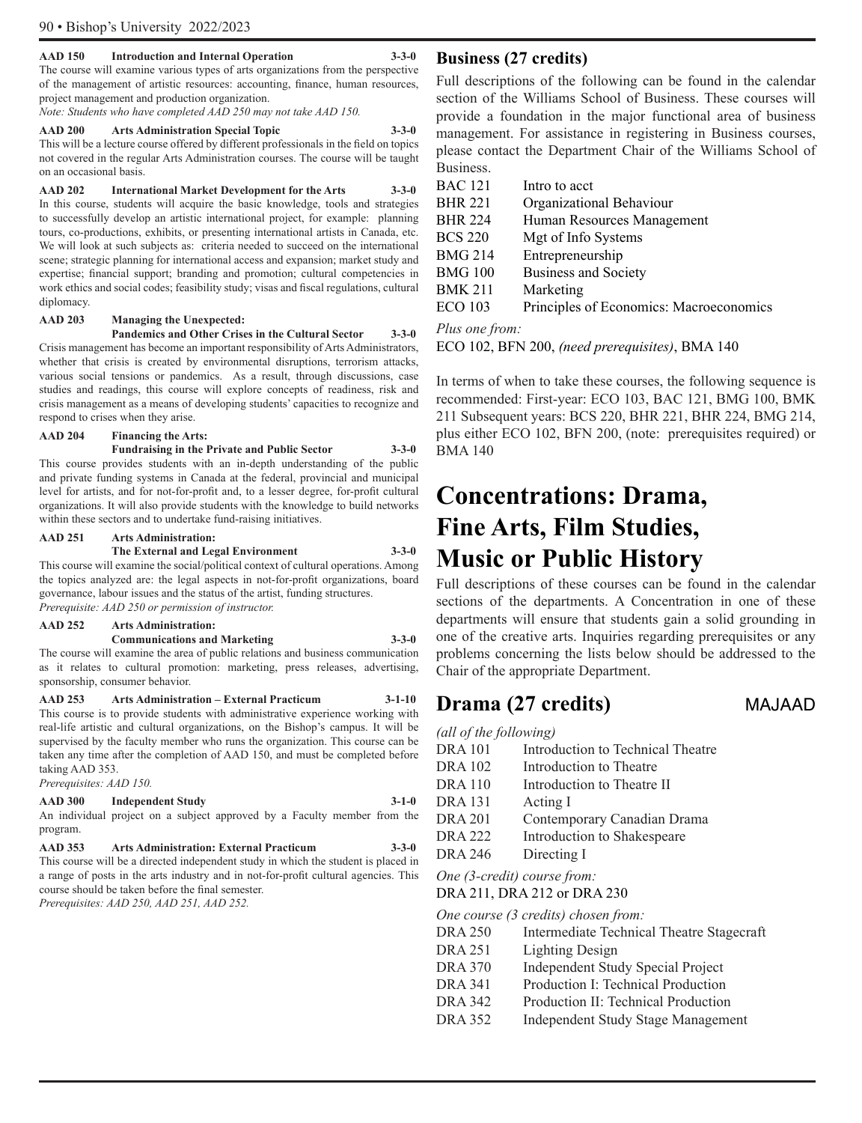#### **AAD 150 Introduction and Internal Operation 3-3-0**

The course will examine various types of arts organizations from the perspective of the management of artistic resources: accounting, finance, human resources, project management and production organization.

*Note: Students who have completed AAD 250 may not take AAD 150.*

#### **AAD 200 Arts Administration Special Topic 3-3-0**

This will be a lecture course offered by different professionals in the field on topics not covered in the regular Arts Administration courses. The course will be taught on an occasional basis.

**AAD 202 International Market Development for the Arts 3-3-0**  In this course, students will acquire the basic knowledge, tools and strategies to successfully develop an artistic international project, for example: planning tours, co-productions, exhibits, or presenting international artists in Canada, etc. We will look at such subjects as: criteria needed to succeed on the international scene; strategic planning for international access and expansion; market study and expertise; financial support; branding and promotion; cultural competencies in work ethics and social codes; feasibility study; visas and fiscal regulations, cultural diplomacy.

#### **AAD 203 Managing the Unexpected:**

**Pandemics and Other Crises in the Cultural Sector 3-3-0**  Crisis management has become an important responsibility of Arts Administrators, whether that crisis is created by environmental disruptions, terrorism attacks, various social tensions or pandemics. As a result, through discussions, case studies and readings, this course will explore concepts of readiness, risk and crisis management as a means of developing students' capacities to recognize and respond to crises when they arise.

#### **AAD 204 Financing the Arts:**

#### **Fundraising in the Private and Public Sector 3-3-0** This course provides students with an in-depth understanding of the public and private funding systems in Canada at the federal, provincial and municipal

level for artists, and for not-for-profit and, to a lesser degree, for-profit cultural organizations. It will also provide students with the knowledge to build networks within these sectors and to undertake fund-raising initiatives.

#### **AAD 251 Arts Administration:**

#### **The External and Legal Environment 3-3-0**

This course will examine the social/political context of cultural operations. Among the topics analyzed are: the legal aspects in not-for-profit organizations, board governance, labour issues and the status of the artist, funding structures. *Prerequisite: AAD 250 or permission of instructor.*

### **AAD 252 Arts Administration:**

**Communications and Marketing 3-3-0**  The course will examine the area of public relations and business communication as it relates to cultural promotion: marketing, press releases, advertising, sponsorship, consumer behavior.

**AAD 253 Arts Administration – External Practicum 3-1-10**  This course is to provide students with administrative experience working with real-life artistic and cultural organizations, on the Bishop's campus. It will be supervised by the faculty member who runs the organization. This course can be taken any time after the completion of AAD 150, and must be completed before taking AAD 353.

*Prerequisites: AAD 150.*

#### **AAD 300 Independent Study 3-1-0**

An individual project on a subject approved by a Faculty member from the program.

| <b>AAD</b> 353 | <b>Arts Administration: External Practicum</b>                                      | $3 - 3 - 0$ |
|----------------|-------------------------------------------------------------------------------------|-------------|
|                | This course will be a directed independent study in which the student is placed in  |             |
|                | a range of posts in the arts industry and in not-for-profit cultural agencies. This |             |
|                | course should be taken before the final semester.                                   |             |
|                | Prerequisites: AAD 250, AAD 251, AAD 252.                                           |             |

*Prerequisites: AAD 250, AAD 251, AAD 252.* 

#### **Business (27 credits)**

Full descriptions of the following can be found in the calendar section of the Williams School of Business. These courses will provide a foundation in the major functional area of business management. For assistance in registering in Business courses, please contact the Department Chair of the Williams School of Business.

| <b>BAC 121</b> | Intro to acct                           |
|----------------|-----------------------------------------|
| <b>BHR 221</b> | Organizational Behaviour                |
| <b>BHR 224</b> | Human Resources Management              |
| <b>BCS 220</b> | Mgt of Info Systems                     |
| <b>BMG 214</b> | Entrepreneurship                        |
| <b>BMG 100</b> | <b>Business and Society</b>             |
| <b>BMK 211</b> | Marketing                               |
| <b>ECO 103</b> | Principles of Economics: Macroeconomics |

#### *Plus one from:*

ECO 102, BFN 200, *(need prerequisites)*, BMA 140

In terms of when to take these courses, the following sequence is recommended: First-year: ECO 103, BAC 121, BMG 100, BMK 211 Subsequent years: BCS 220, BHR 221, BHR 224, BMG 214, plus either ECO 102, BFN 200, (note: prerequisites required) or BMA 140

## **Concentrations: Drama, Fine Arts, Film Studies, Music or Public History**

Full descriptions of these courses can be found in the calendar sections of the departments. A Concentration in one of these departments will ensure that students gain a solid grounding in one of the creative arts. Inquiries regarding prerequisites or any problems concerning the lists below should be addressed to the Chair of the appropriate Department.

### **Drama (27 credits)** MAJAAD

| (all of the following) |                                   |
|------------------------|-----------------------------------|
| <b>DRA</b> 101         | Introduction to Technical Theatre |
| <b>DRA 102</b>         | Introduction to Theatre           |
| <b>DRA110</b>          | Introduction to Theatre II        |
| <b>DRA</b> 131         | Acting I                          |
| <b>DRA 201</b>         | Contemporary Canadian Drama       |
| <b>DRA 222</b>         | Introduction to Shakespeare       |
| <b>DRA 246</b>         | Directing I                       |
|                        |                                   |

*One (3-credit) course from:*

DRA 211, DRA 212 or DRA 230

*One course (3 credits) chosen from:*

| DRA 250 | Intermediate Technical Theatre Stagecraft |  |  |  |
|---------|-------------------------------------------|--|--|--|
|---------|-------------------------------------------|--|--|--|

- DRA 251 Lighting Design
- DRA 370 Independent Study Special Project
- DRA 341 Production I: Technical Production
- DRA 342 Production II: Technical Production
- DRA 352 Independent Study Stage Management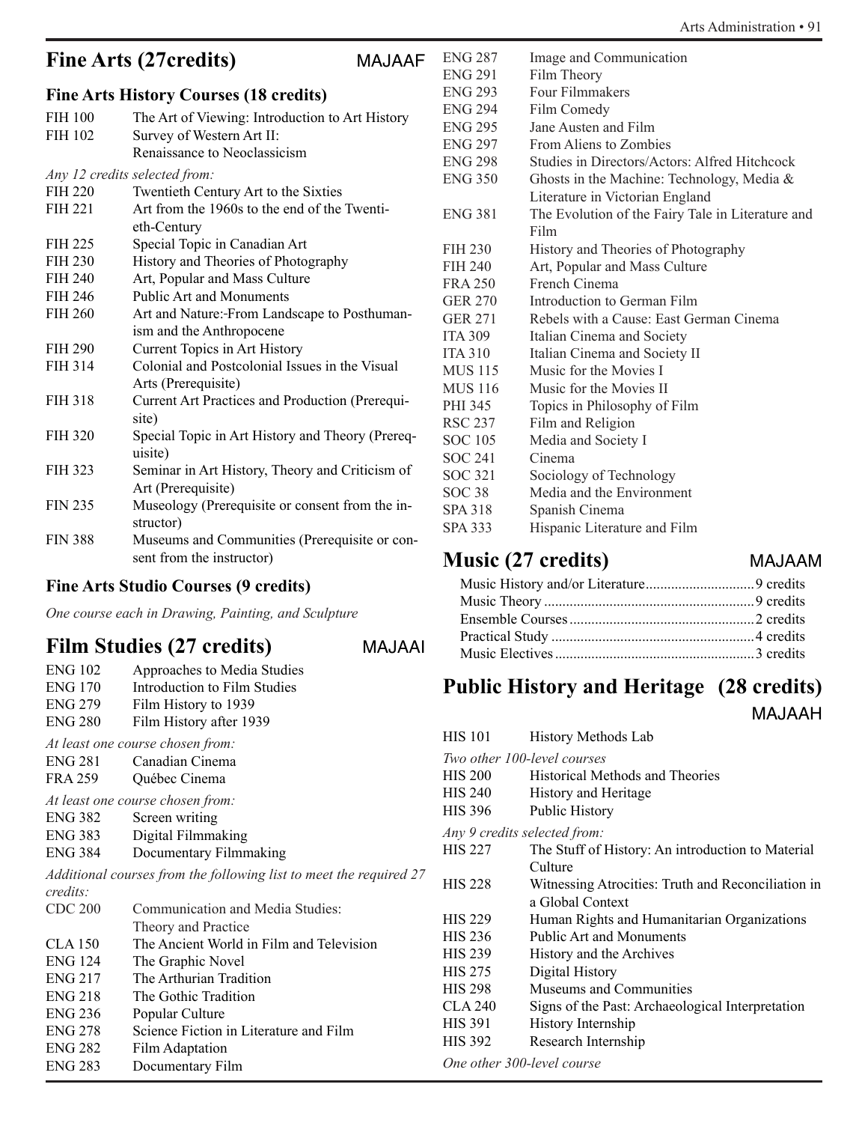#### Arts Administration • 91

### **Fine Arts (27credits)** MAJAAF

### **Fine Arts History Courses (18 credits)**

|                | ring Arts History Courses (10 Geguns)            |
|----------------|--------------------------------------------------|
| <b>FIH 100</b> | The Art of Viewing: Introduction to Art History  |
| FIH 102        | Survey of Western Art II:                        |
|                | Renaissance to Neoclassicism                     |
|                | Any 12 credits selected from:                    |
| <b>FIH 220</b> | Twentieth Century Art to the Sixties             |
| FIH 221        | Art from the 1960s to the end of the Twenti-     |
|                | eth-Century                                      |
| <b>FIH 225</b> | Special Topic in Canadian Art                    |
| <b>FIH 230</b> | History and Theories of Photography              |
| FIH 240        | Art, Popular and Mass Culture                    |
| <b>FIH 246</b> | <b>Public Art and Monuments</b>                  |
| <b>FIH 260</b> | Art and Nature:-From Landscape to Posthuman-     |
|                | ism and the Anthropocene                         |
| <b>FIH 290</b> | Current Topics in Art History                    |
| FIH 314        | Colonial and Postcolonial Issues in the Visual   |
|                | Arts (Prerequisite)                              |
| <b>FIH 318</b> | Current Art Practices and Production (Prerequi-  |
|                | site)                                            |
| <b>FIH 320</b> | Special Topic in Art History and Theory (Prereq- |
|                | uisite)                                          |
| <b>FIH 323</b> | Seminar in Art History, Theory and Criticism of  |
|                | Art (Prerequisite)                               |
| <b>FIN 235</b> | Museology (Prerequisite or consent from the in-  |
|                | structor)                                        |
| <b>FIN 388</b> | Museums and Communities (Prerequisite or con-    |
|                | sent from the instructor)                        |
|                |                                                  |

#### **Fine Arts Studio Courses (9 credits)**

*One course each in Drawing, Painting, and Sculpture*

### **Film Studies (27 credits)** MAJAAI

| <b>NIAJAA</b> |
|---------------|
|               |

| <b>ENG 102</b> | Approaches to Media Studies                                        |
|----------------|--------------------------------------------------------------------|
| <b>ENG 170</b> | Introduction to Film Studies                                       |
| <b>ENG 279</b> | Film History to 1939                                               |
| <b>ENG 280</b> | Film History after 1939                                            |
|                | At least one course chosen from:                                   |
| <b>ENG 281</b> | Canadian Cinema                                                    |
| <b>FRA 259</b> | Québec Cinema                                                      |
|                | At least one course chosen from:                                   |
| <b>ENG 382</b> | Screen writing                                                     |
| ENG 383        | Digital Filmmaking                                                 |
| <b>ENG 384</b> | Documentary Filmmaking                                             |
|                | Additional courses from the following list to meet the required 27 |
| credits        |                                                                    |
| <b>CDC 200</b> | Communication and Media Studies:                                   |
|                | Theory and Practice                                                |
| CLA 150        | The Ancient World in Film and Television                           |
| <b>ENG 124</b> | The Graphic Novel                                                  |
| ENG 217        | The Arthurian Tradition                                            |
| <b>ENG 218</b> | The Gothic Tradition                                               |
| <b>ENG 236</b> | Popular Culture                                                    |
| <b>ENG 278</b> | Science Fiction in Literature and Film                             |
| <b>ENG 282</b> | Film Adaptation                                                    |
| <b>ENG 283</b> | Documentary Film                                                   |

| <b>ENG 287</b> | Image and Communication                           |
|----------------|---------------------------------------------------|
| <b>ENG 291</b> | Film Theory                                       |
| <b>ENG 293</b> | Four Filmmakers                                   |
| <b>ENG 294</b> | Film Comedy                                       |
| <b>ENG 295</b> | Jane Austen and Film                              |
| <b>ENG 297</b> | From Aliens to Zombies                            |
| ENG 298        | Studies in Directors/Actors: Alfred Hitchcock     |
| <b>ENG 350</b> | Ghosts in the Machine: Technology, Media &        |
|                | Literature in Victorian England                   |
| <b>ENG 381</b> | The Evolution of the Fairy Tale in Literature and |
|                | Film                                              |
| <b>FIH 230</b> | History and Theories of Photography               |
| FIH 240        | Art, Popular and Mass Culture                     |
| <b>FRA 250</b> | French Cinema                                     |
| <b>GER 270</b> | Introduction to German Film                       |
| <b>GER 271</b> | Rebels with a Cause: East German Cinema           |
| <b>ITA 309</b> | Italian Cinema and Society                        |
| <b>ITA 310</b> | Italian Cinema and Society II                     |
| MUS 115        | Music for the Movies I                            |
| <b>MUS</b> 116 | Music for the Movies II                           |
| PHI 345        | Topics in Philosophy of Film                      |
| RSC 237        | Film and Religion                                 |
| SOC 105        | Media and Society I                               |
| SOC 241        | Cinema                                            |
| SOC 321        | Sociology of Technology                           |
| SOC 38         | Media and the Environment                         |
| SPA 318        | Spanish Cinema                                    |
| SPA 333        | Hispanic Literature and Film                      |

### **Music (27 credits)**

### **Public History and Heritage (28 credits)**

MAJAAH

| HIS 101                      | History Methods Lab                                |
|------------------------------|----------------------------------------------------|
|                              | Two other 100-level courses                        |
| <b>HIS 200</b>               | <b>Historical Methods and Theories</b>             |
| <b>HIS 240</b>               | History and Heritage                               |
| <b>HIS 396</b>               | Public History                                     |
| Any 9 credits selected from: |                                                    |
| <b>HIS 227</b>               | The Stuff of History: An introduction to Material  |
|                              | Culture                                            |
| <b>HIS 228</b>               | Witnessing Atrocities: Truth and Reconciliation in |
|                              | a Global Context                                   |
| <b>HIS 229</b>               | Human Rights and Humanitarian Organizations        |
| <b>HIS 236</b>               | <b>Public Art and Monuments</b>                    |
| <b>HIS 239</b>               | History and the Archives                           |
| <b>HIS 275</b>               | Digital History                                    |
| <b>HIS 298</b>               | Museums and Communities                            |
| <b>CLA 240</b>               | Signs of the Past: Archaeological Interpretation   |
| <b>HIS 391</b>               | History Internship                                 |
| <b>HIS 392</b>               | Research Internship                                |
| One other 300-level course   |                                                    |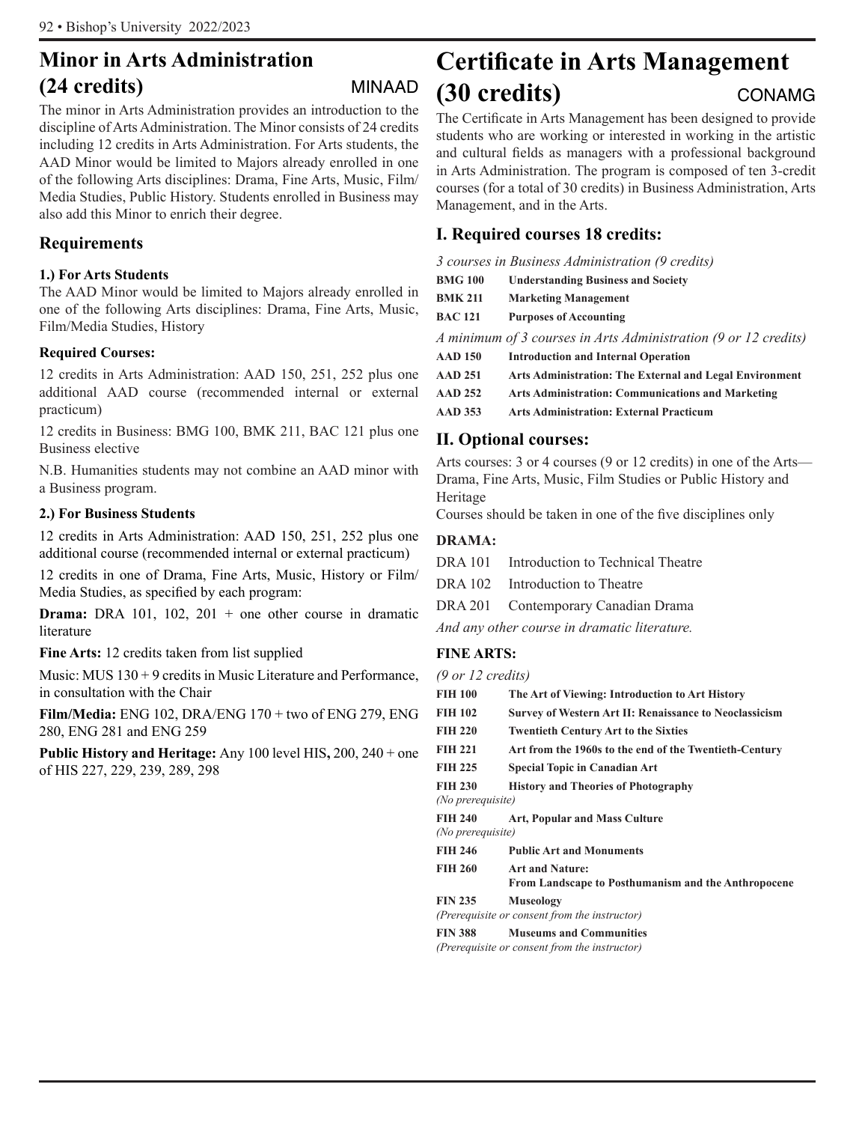### **Minor in Arts Administration (24 credits)** MINAAD

The minor in Arts Administration provides an introduction to the discipline of Arts Administration. The Minor consists of 24 credits including 12 credits in Arts Administration. For Arts students, the AAD Minor would be limited to Majors already enrolled in one of the following Arts disciplines: Drama, Fine Arts, Music, Film/ Media Studies, Public History. Students enrolled in Business may also add this Minor to enrich their degree.

#### **Requirements**

#### **1.) For Arts Students**

The AAD Minor would be limited to Majors already enrolled in one of the following Arts disciplines: Drama, Fine Arts, Music, Film/Media Studies, History

#### **Required Courses:**

12 credits in Arts Administration: AAD 150, 251, 252 plus one additional AAD course (recommended internal or external practicum)

12 credits in Business: BMG 100, BMK 211, BAC 121 plus one Business elective

N.B. Humanities students may not combine an AAD minor with a Business program.

#### **2.) For Business Students**

12 credits in Arts Administration: AAD 150, 251, 252 plus one additional course (recommended internal or external practicum)

12 credits in one of Drama, Fine Arts, Music, History or Film/ Media Studies, as specified by each program:

**Drama:** DRA 101, 102, 201 + one other course in dramatic literature

**Fine Arts:** 12 credits taken from list supplied

Music: MUS 130 + 9 credits in Music Literature and Performance, in consultation with the Chair

**Film/Media:** ENG 102, DRA/ENG 170 + two of ENG 279, ENG 280, ENG 281 and ENG 259

**Public History and Heritage:** Any 100 level HIS**,** 200, 240 + one of HIS 227, 229, 239, 289, 298

### **Certificate in Arts Management (30 credits)** CONAMG

The Certificate in Arts Management has been designed to provide students who are working or interested in working in the artistic and cultural fields as managers with a professional background in Arts Administration. The program is composed of ten 3-credit courses (for a total of 30 credits) in Business Administration, Arts Management, and in the Arts.

#### **I. Required courses 18 credits:**

*3 courses in Business Administration (9 credits)*

| <b>BMG 100</b> | <b>Understanding Business and Society</b>                       |
|----------------|-----------------------------------------------------------------|
| <b>BMK 211</b> | <b>Marketing Management</b>                                     |
| <b>BAC 121</b> | <b>Purposes of Accounting</b>                                   |
|                | A minimum of 3 courses in Arts Administration (9 or 12 credits) |
| <b>AAD 150</b> | <b>Introduction and Internal Operation</b>                      |
| <b>AAD 251</b> | Arts Administration: The External and Legal Environment         |
| <b>AAD 252</b> | <b>Arts Administration: Communications and Marketing</b>        |
| <b>AAD 353</b> | <b>Arts Administration: External Practicum</b>                  |
|                |                                                                 |

#### **II. Optional courses:**

Arts courses: 3 or 4 courses (9 or 12 credits) in one of the Arts— Drama, Fine Arts, Music, Film Studies or Public History and Heritage

Courses should be taken in one of the five disciplines only

#### **DRAMA:**

| Introduction to Technical Theatre<br>DRA 101 |
|----------------------------------------------|
|----------------------------------------------|

DRA 102 Introduction to Theatre

DRA 201 Contemporary Canadian Drama

*And any other course in dramatic literature.*

#### **FINE ARTS:**

| $(9 \text{ or } 12 \text{ credits})$ |  |
|--------------------------------------|--|
|--------------------------------------|--|

| The Art of Viewing: Introduction to Art History                                 |
|---------------------------------------------------------------------------------|
| Survey of Western Art II: Renaissance to Neoclassicism                          |
| <b>Twentieth Century Art to the Sixties</b>                                     |
| Art from the 1960s to the end of the Twentieth-Century                          |
| <b>Special Topic in Canadian Art</b>                                            |
| <b>History and Theories of Photography</b><br>(No prerequisite)                 |
| <b>Art, Popular and Mass Culture</b><br>(No prerequisite)                       |
| <b>Public Art and Monuments</b>                                                 |
| <b>Art and Nature:</b><br>From Landscape to Posthumanism and the Anthropocene   |
| <b>Museology</b>                                                                |
| (Prerequisite or consent from the instructor)                                   |
| <b>Museums and Communities</b><br>(Prerequisite or consent from the instructor) |
|                                                                                 |